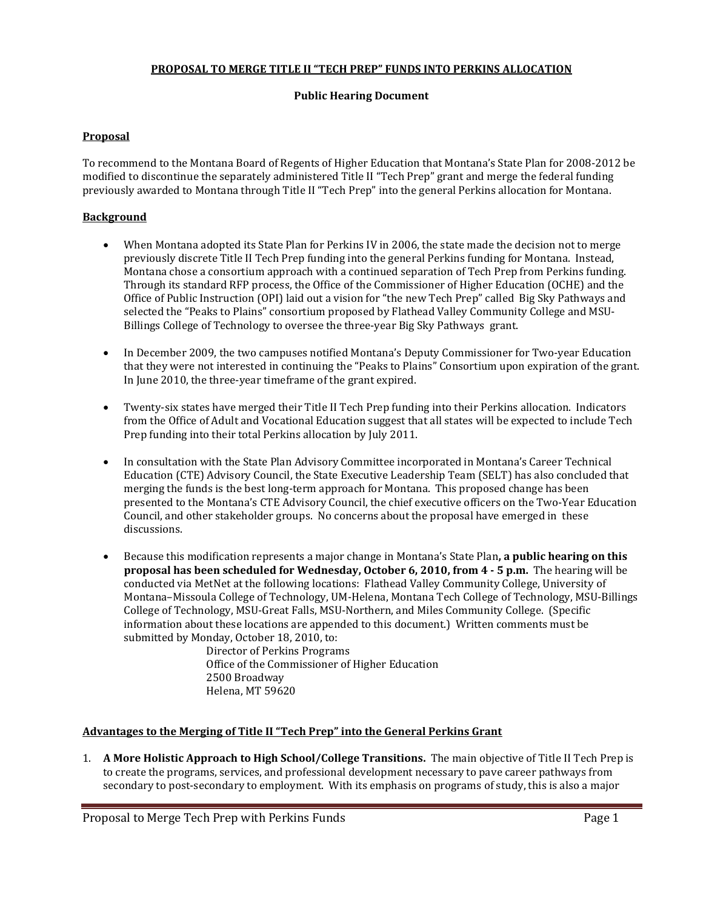### **PROPOSAL TO MERGE TITLE II "TECH PREP" FUNDS INTO PERKINS ALLOCATION**

#### **Public Hearing Document**

### **Proposal**

To recommend to the Montana Board of Regents of Higher Education that Montana's State Plan for 2008-2012 be modified to discontinue the separately administered Title II "Tech Prep" grant and merge the federal funding previously awarded to Montana through Title II "Tech Prep" into the general Perkins allocation for Montana.

### **Background**

- When Montana adopted its State Plan for Perkins IV in 2006, the state made the decision not to merge previously discrete Title II Tech Prep funding into the general Perkins funding for Montana. Instead, Montana chose a consortium approach with a continued separation of Tech Prep from Perkins funding. Through its standard RFP process, the Office of the Commissioner of Higher Education (OCHE) and the Office of Public Instruction (OPI) laid out a vision for "the new Tech Prep" called Big Sky Pathways and selected the "Peaks to Plains" consortium proposed by Flathead Valley Community College and MSU-Billings College of Technology to oversee the three-year Big Sky Pathways grant.
- In December 2009, the two campuses notified Montana's Deputy Commissioner for Two-year Education that they were not interested in continuing the "Peaks to Plains" Consortium upon expiration of the grant. In June 2010, the three-year timeframe of the grant expired.
- Twenty-six states have merged their Title II Tech Prep funding into their Perkins allocation. Indicators from the Office of Adult and Vocational Education suggest that all states will be expected to include Tech Prep funding into their total Perkins allocation by July 2011.
- In consultation with the State Plan Advisory Committee incorporated in Montana's Career Technical Education (CTE) Advisory Council, the State Executive Leadership Team (SELT) has also concluded that merging the funds is the best long-term approach for Montana. This proposed change has been presented to the Montana's CTE Advisory Council, the chief executive officers on the Two-Year Education Council, and other stakeholder groups. No concerns about the proposal have emerged in these discussions.
- Because this modification represents a major change in Montana's State Plan**, a public hearing on this proposal has been scheduled for Wednesday, October 6, 2010, from 4 - 5 p.m.** The hearing will be conducted via MetNet at the following locations: Flathead Valley Community College, University of Montana–Missoula College of Technology, UM-Helena, Montana Tech College of Technology, MSU-Billings College of Technology, MSU-Great Falls, MSU-Northern, and Miles Community College. (Specific information about these locations are appended to this document.) Written comments must be submitted by Monday, October 18, 2010, to:

Director of Perkins Programs Office of the Commissioner of Higher Education 2500 Broadway Helena, MT 59620

### **Advantages to the Merging of Title II "Tech Prep" into the General Perkins Grant**

1. **A More Holistic Approach to High School/College Transitions.** The main objective of Title II Tech Prep is to create the programs, services, and professional development necessary to pave career pathways from secondary to post-secondary to employment. With its emphasis on programs of study, this is also a major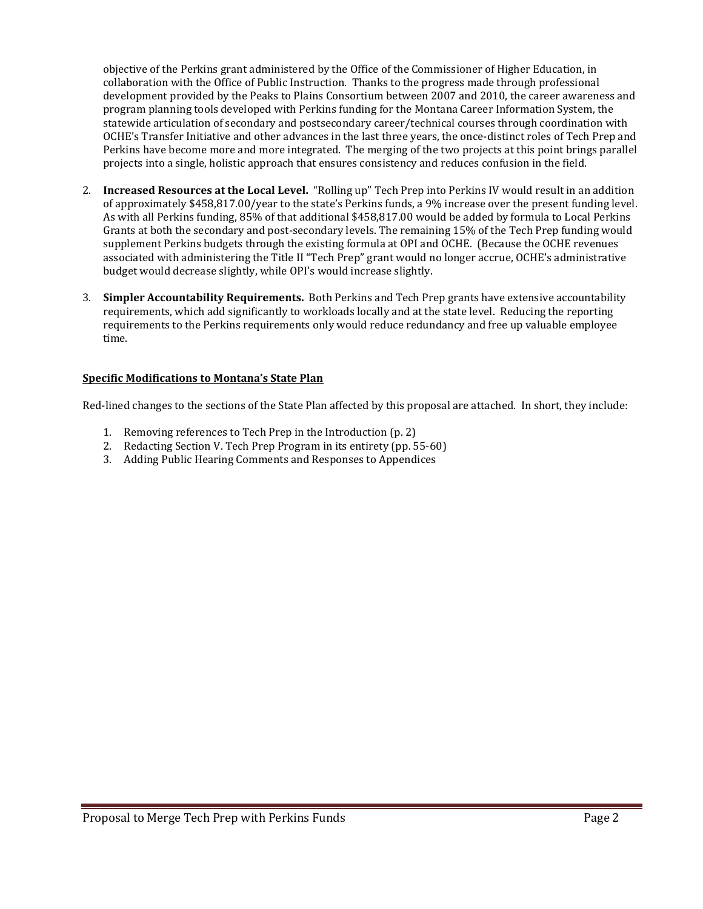objective of the Perkins grant administered by the Office of the Commissioner of Higher Education, in collaboration with the Office of Public Instruction. Thanks to the progress made through professional development provided by the Peaks to Plains Consortium between 2007 and 2010, the career awareness and program planning tools developed with Perkins funding for the Montana Career Information System, the statewide articulation of secondary and postsecondary career/technical courses through coordination with OCHE's Transfer Initiative and other advances in the last three years, the once-distinct roles of Tech Prep and Perkins have become more and more integrated. The merging of the two projects at this point brings parallel projects into a single, holistic approach that ensures consistency and reduces confusion in the field.

- 2. **Increased Resources at the Local Level.** "Rolling up" Tech Prep into Perkins IV would result in an addition of approximately \$458,817.00/year to the state's Perkins funds, a 9% increase over the present funding level. As with all Perkins funding, 85% of that additional \$458,817.00 would be added by formula to Local Perkins Grants at both the secondary and post-secondary levels. The remaining 15% of the Tech Prep funding would supplement Perkins budgets through the existing formula at OPI and OCHE. (Because the OCHE revenues associated with administering the Title II "Tech Prep" grant would no longer accrue, OCHE's administrative budget would decrease slightly, while OPI's would increase slightly.
- 3. **Simpler Accountability Requirements.** Both Perkins and Tech Prep grants have extensive accountability requirements, which add significantly to workloads locally and at the state level. Reducing the reporting requirements to the Perkins requirements only would reduce redundancy and free up valuable employee time.

### **Specific Modifications to Montana's State Plan**

Red-lined changes to the sections of the State Plan affected by this proposal are attached. In short, they include:

- 1. Removing references to Tech Prep in the Introduction (p. 2)
- 2. Redacting Section V. Tech Prep Program in its entirety (pp. 55-60)
- 3. Adding Public Hearing Comments and Responses to Appendices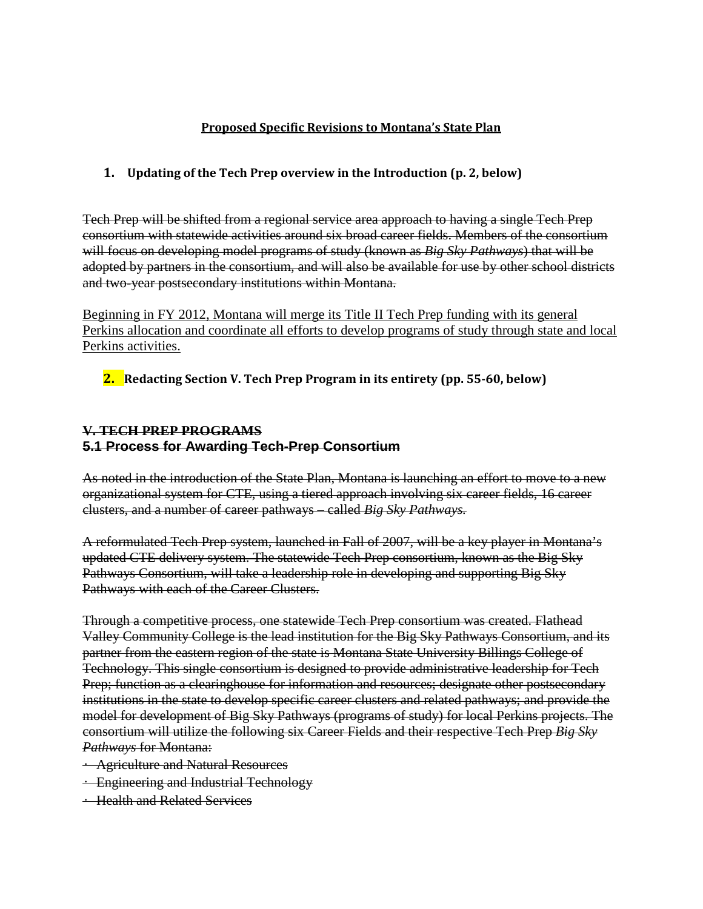### **Proposed Specific Revisions to Montana's State Plan**

# **1. Updating of the Tech Prep overview in the Introduction (p. 2, below)**

Tech Prep will be shifted from a regional service area approach to having a single Tech Prep consortium with statewide activities around six broad career fields. Members of the consortium will focus on developing model programs of study (known as *Big Sky Pathways*) that will be adopted by partners in the consortium, and will also be available for use by other school districts and two-year postsecondary institutions within Montana.

Beginning in FY 2012, Montana will merge its Title II Tech Prep funding with its general Perkins allocation and coordinate all efforts to develop programs of study through state and local Perkins activities.

**2. Redacting Section V. Tech Prep Program in its entirety (pp. 55-60, below)**

# **V. TECH PREP PROGRAMS 5.1 Process for Awarding Tech-Prep Consortium**

As noted in the introduction of the State Plan, Montana is launching an effort to move to a new organizational system for CTE, using a tiered approach involving six career fields, 16 career clusters, and a number of career pathways – called *Big Sky Pathways.*

A reformulated Tech Prep system, launched in Fall of 2007, will be a key player in Montana's updated CTE delivery system. The statewide Tech Prep consortium, known as the Big Sky Pathways Consortium, will take a leadership role in developing and supporting Big Sky Pathways with each of the Career Clusters.

Through a competitive process, one statewide Tech Prep consortium was created. Flathead Valley Community College is the lead institution for the Big Sky Pathways Consortium, and its partner from the eastern region of the state is Montana State University Billings College of Technology. This single consortium is designed to provide administrative leadership for Tech Prep; function as a clearinghouse for information and resources; designate other postsecondary institutions in the state to develop specific career clusters and related pathways; and provide the model for development of Big Sky Pathways (programs of study) for local Perkins projects. The consortium will utilize the following six Career Fields and their respective Tech Prep *Big Sky Pathways* for Montana:

- Agriculture and Natural Resources
- Engineering and Industrial Technology
- Health and Related Services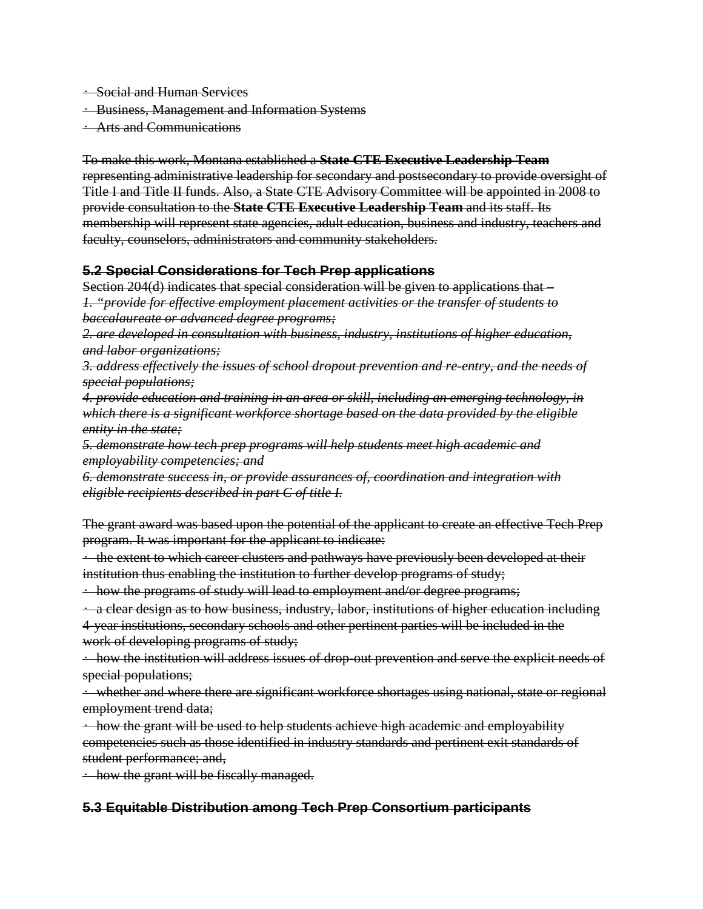- Social and Human Services
- Business, Management and Information Systems
- Arts and Communications

To make this work, Montana established a **State CTE Executive Leadership Team** representing administrative leadership for secondary and postsecondary to provide oversight of Title I and Title II funds. Also, a State CTE Advisory Committee will be appointed in 2008 to provide consultation to the **State CTE Executive Leadership Team** and its staff. Its membership will represent state agencies, adult education, business and industry, teachers and faculty, counselors, administrators and community stakeholders.

### **5.2 Special Considerations for Tech Prep applications**

Section 204(d) indicates that special consideration will be given to applications that – *1. "provide for effective employment placement activities or the transfer of students to baccalaureate or advanced degree programs;*

*2. are developed in consultation with business, industry, institutions of higher education, and labor organizations;*

*3. address effectively the issues of school dropout prevention and re-entry, and the needs of special populations;*

*4. provide education and training in an area or skill, including an emerging technology, in which there is a significant workforce shortage based on the data provided by the eligible entity in the state;*

*5. demonstrate how tech prep programs will help students meet high academic and employability competencies; and*

*6. demonstrate success in, or provide assurances of, coordination and integration with eligible recipients described in part C of title I.*

The grant award was based upon the potential of the applicant to create an effective Tech Prep program. It was important for the applicant to indicate:

• the extent to which career clusters and pathways have previously been developed at their institution thus enabling the institution to further develop programs of study;

• how the programs of study will lead to employment and/or degree programs;

• a clear design as to how business, industry, labor, institutions of higher education including 4-year institutions, secondary schools and other pertinent parties will be included in the work of developing programs of study;

• how the institution will address issues of drop-out prevention and serve the explicit needs of special populations;

• whether and where there are significant workforce shortages using national, state or regional employment trend data;

• how the grant will be used to help students achieve high academic and employability competencies such as those identified in industry standards and pertinent exit standards of student performance; and,

• how the grant will be fiscally managed.

# **5.3 Equitable Distribution among Tech Prep Consortium participants**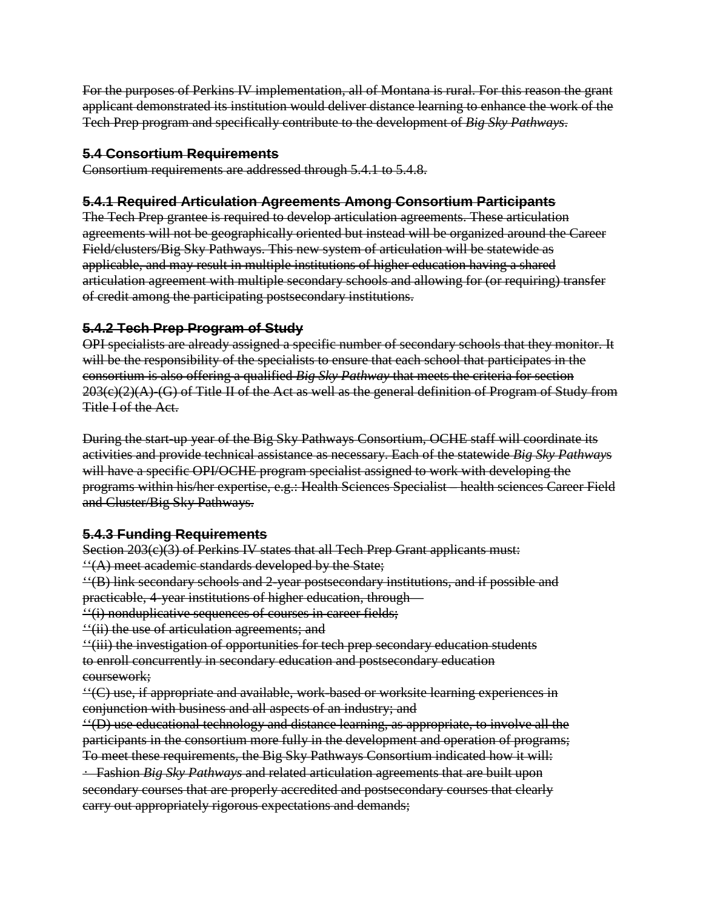For the purposes of Perkins IV implementation, all of Montana is rural. For this reason the grant applicant demonstrated its institution would deliver distance learning to enhance the work of the Tech Prep program and specifically contribute to the development of *Big Sky Pathways*.

# **5.4 Consortium Requirements**

Consortium requirements are addressed through 5.4.1 to 5.4.8.

# **5.4.1 Required Articulation Agreements Among Consortium Participants**

The Tech Prep grantee is required to develop articulation agreements. These articulation agreements will not be geographically oriented but instead will be organized around the Career Field/clusters/Big Sky Pathways. This new system of articulation will be statewide as applicable, and may result in multiple institutions of higher education having a shared articulation agreement with multiple secondary schools and allowing for (or requiring) transfer of credit among the participating postsecondary institutions.

# **5.4.2 Tech Prep Program of Study**

OPI specialists are already assigned a specific number of secondary schools that they monitor. It will be the responsibility of the specialists to ensure that each school that participates in the consortium is also offering a qualified *Big Sky Pathway* that meets the criteria for section  $203(e)(2)(A)$ -(G) of Title II of the Act as well as the general definition of Program of Study from Title I of the Act.

During the start-up year of the Big Sky Pathways Consortium, OCHE staff will coordinate its activities and provide technical assistance as necessary. Each of the statewide *Big Sky Pathway*s will have a specific OPI/OCHE program specialist assigned to work with developing the programs within his/her expertise, e.g.: Health Sciences Specialist – health sciences Career Field and Cluster/Big Sky Pathways.

# **5.4.3 Funding Requirements**

Section 203(e)(3) of Perkins IV states that all Tech Prep Grant applicants must:  $\mathcal{L}(A)$  meet academic standards developed by the State;

''(B) link secondary schools and 2-year postsecondary institutions, and if possible and practicable, 4-year institutions of higher education, through—

''(i) nonduplicative sequences of courses in career fields;

''(ii) the use of articulation agreements; and

''(iii) the investigation of opportunities for tech prep secondary education students to enroll concurrently in secondary education and postsecondary education coursework;

''(C) use, if appropriate and available, work-based or worksite learning experiences in conjunction with business and all aspects of an industry; and

''(D) use educational technology and distance learning, as appropriate, to involve all the participants in the consortium more fully in the development and operation of programs; To meet these requirements, the Big Sky Pathways Consortium indicated how it will:

• Fashion *Big Sky Pathways* and related articulation agreements that are built upon secondary courses that are properly accredited and postsecondary courses that clearly carry out appropriately rigorous expectations and demands;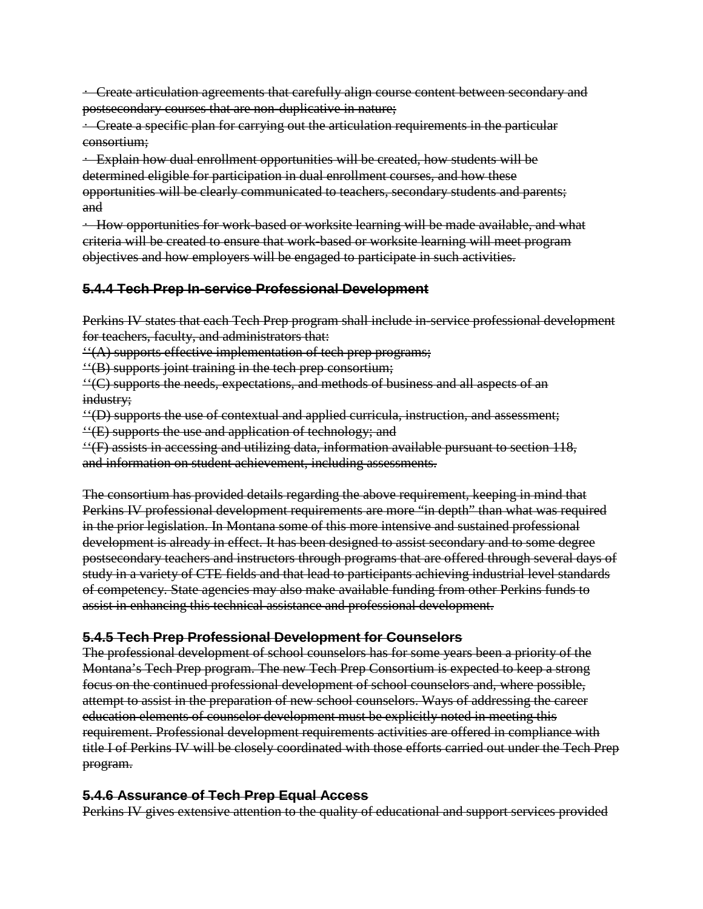• Create articulation agreements that carefully align course content between secondary and postsecondary courses that are non-duplicative in nature;

 $\div$  Create a specific plan for carrying out the articulation requirements in the particular consortium;

• Explain how dual enrollment opportunities will be created, how students will be determined eligible for participation in dual enrollment courses, and how these opportunities will be clearly communicated to teachers, secondary students and parents; and

• How opportunities for work-based or worksite learning will be made available, and what criteria will be created to ensure that work-based or worksite learning will meet program objectives and how employers will be engaged to participate in such activities.

# **5.4.4 Tech Prep In-service Professional Development**

Perkins IV states that each Tech Prep program shall include in-service professional development for teachers, faculty, and administrators that:

''(A) supports effective implementation of tech prep programs;

''(B) supports joint training in the tech prep consortium;

''(C) supports the needs, expectations, and methods of business and all aspects of an industry;

''(D) supports the use of contextual and applied curricula, instruction, and assessment; ''(E) supports the use and application of technology; and

''(F) assists in accessing and utilizing data, information available pursuant to section 118, and information on student achievement, including assessments.

The consortium has provided details regarding the above requirement, keeping in mind that Perkins IV professional development requirements are more "in depth" than what was required in the prior legislation. In Montana some of this more intensive and sustained professional development is already in effect. It has been designed to assist secondary and to some degree postsecondary teachers and instructors through programs that are offered through several days of study in a variety of CTE fields and that lead to participants achieving industrial level standards of competency. State agencies may also make available funding from other Perkins funds to assist in enhancing this technical assistance and professional development.

# **5.4.5 Tech Prep Professional Development for Counselors**

The professional development of school counselors has for some years been a priority of the Montana's Tech Prep program. The new Tech Prep Consortium is expected to keep a strong focus on the continued professional development of school counselors and, where possible, attempt to assist in the preparation of new school counselors. Ways of addressing the career education elements of counselor development must be explicitly noted in meeting this requirement. Professional development requirements activities are offered in compliance with title I of Perkins IV will be closely coordinated with those efforts carried out under the Tech Prep program.

# **5.4.6 Assurance of Tech Prep Equal Access**

Perkins IV gives extensive attention to the quality of educational and support services provided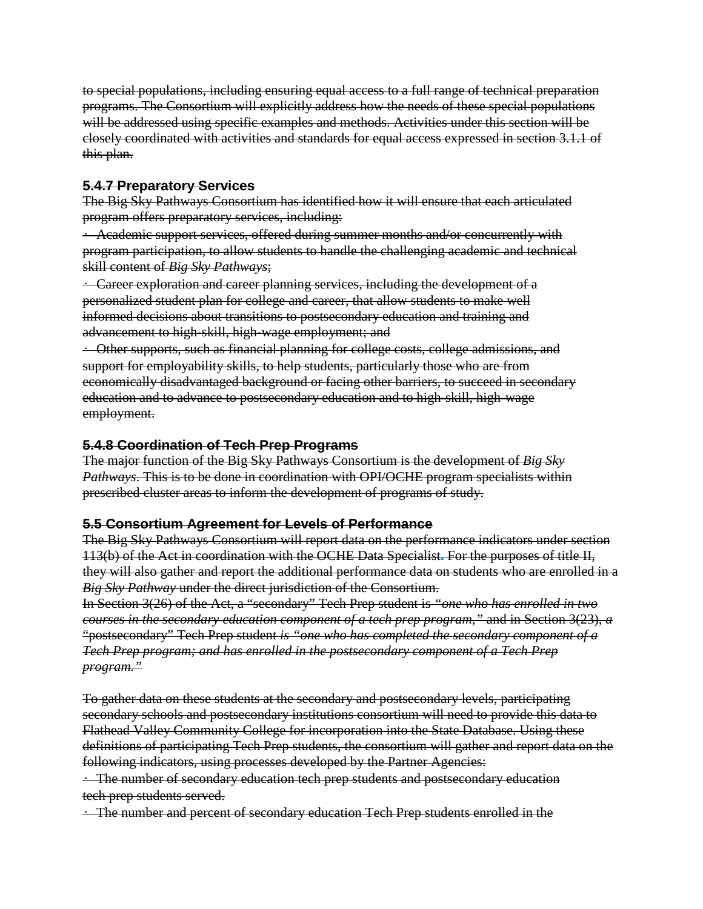to special populations, including ensuring equal access to a full range of technical preparation programs. The Consortium will explicitly address how the needs of these special populations will be addressed using specific examples and methods. Activities under this section will be closely coordinated with activities and standards for equal access expressed in section 3.1.1 of this plan.

### **5.4.7 Preparatory Services**

The Big Sky Pathways Consortium has identified how it will ensure that each articulated program offers preparatory services, including:

• Academic support services, offered during summer months and/or concurrently with program participation, to allow students to handle the challenging academic and technical skill content of *Big Sky Pathways*;

• Career exploration and career planning services, including the development of a personalized student plan for college and career, that allow students to make well informed decisions about transitions to postsecondary education and training and advancement to high-skill, high-wage employment; and

• Other supports, such as financial planning for college costs, college admissions, and support for employability skills, to help students, particularly those who are from economically disadvantaged background or facing other barriers, to succeed in secondary education and to advance to postsecondary education and to high-skill, high-wage employment.

# **5.4.8 Coordination of Tech Prep Programs**

The major function of the Big Sky Pathways Consortium is the development of *Big Sky Pathways*. This is to be done in coordination with OPI/OCHE program specialists within prescribed cluster areas to inform the development of programs of study.

# **5.5 Consortium Agreement for Levels of Performance**

The Big Sky Pathways Consortium will report data on the performance indicators under section 113(b) of the Act in coordination with the OCHE Data Specialist**.** For the purposes of title II, they will also gather and report the additional performance data on students who are enrolled in a *Big Sky Pathway* under the direct jurisdiction of the Consortium.

In Section 3(26) of the Act, a "secondary" Tech Prep student is *"one who has enrolled in two courses in the secondary education component of a tech prep program,"* and in Section 3(23), *a* "postsecondary" Tech Prep student *is "one who has completed the secondary component of a Tech Prep program; and has enrolled in the postsecondary component of a Tech Prep program."*

To gather data on these students at the secondary and postsecondary levels, participating secondary schools and postsecondary institutions consortium will need to provide this data to Flathead Valley Community College for incorporation into the State Database. Using these definitions of participating Tech Prep students, the consortium will gather and report data on the following indicators, using processes developed by the Partner Agencies:

• The number of secondary education tech prep students and postsecondary education tech prep students served.

• The number and percent of secondary education Tech Prep students enrolled in the